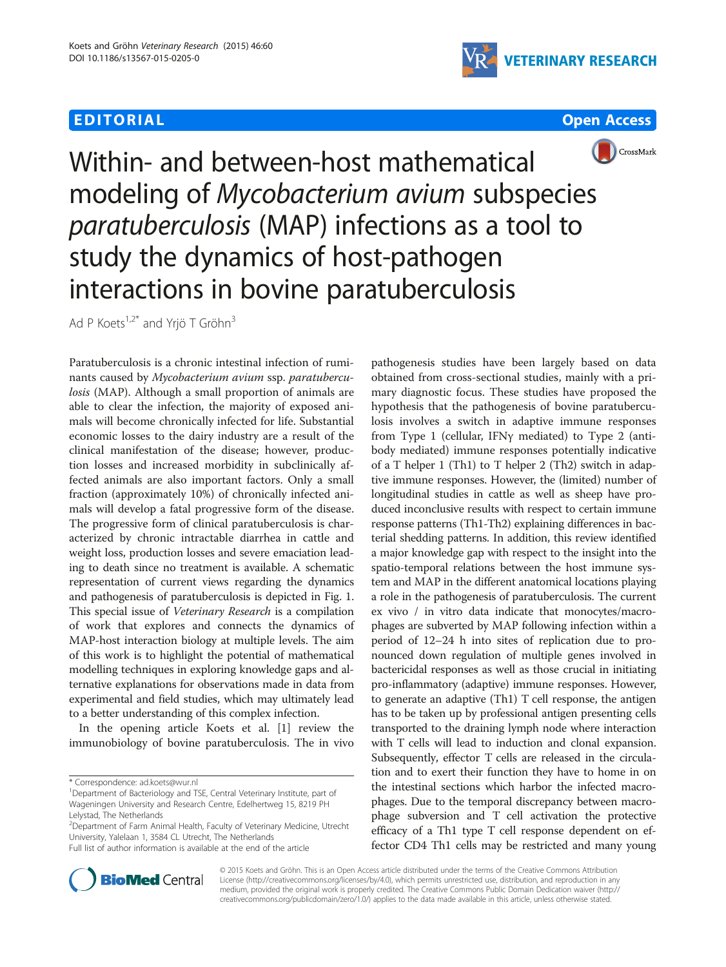# EDI TORIA L Op[en](http://crossmark.crossref.org/dialog/?doi=10.1186/s13567-015-0205-0&domain=pdf) [Access](http://crossmark.crossref.org/dialog/?doi=10.1186/s13567-015-0205-0&domain=pdf)





Within- and between-host mathematical modeling of Mycobacterium avium subspecies paratuberculosis (MAP) infections as a tool to study the dynamics of host-pathogen interactions in bovine paratuberculosis

Ad P Koets<sup>1,2\*</sup> and Yrjö T Gröhn<sup>3</sup>

Paratuberculosis is a chronic intestinal infection of ruminants caused by Mycobacterium avium ssp. paratuberculosis (MAP). Although a small proportion of animals are able to clear the infection, the majority of exposed animals will become chronically infected for life. Substantial economic losses to the dairy industry are a result of the clinical manifestation of the disease; however, production losses and increased morbidity in subclinically affected animals are also important factors. Only a small fraction (approximately 10%) of chronically infected animals will develop a fatal progressive form of the disease. The progressive form of clinical paratuberculosis is characterized by chronic intractable diarrhea in cattle and weight loss, production losses and severe emaciation leading to death since no treatment is available. A schematic representation of current views regarding the dynamics and pathogenesis of paratuberculosis is depicted in Fig. [1](#page-1-0). This special issue of Veterinary Research is a compilation of work that explores and connects the dynamics of MAP-host interaction biology at multiple levels. The aim of this work is to highlight the potential of mathematical modelling techniques in exploring knowledge gaps and alternative explanations for observations made in data from experimental and field studies, which may ultimately lead to a better understanding of this complex infection.

In the opening article Koets et al. [[1\]](#page-3-0) review the immunobiology of bovine paratuberculosis. The in vivo

2 Department of Farm Animal Health, Faculty of Veterinary Medicine, Utrecht University, Yalelaan 1, 3584 CL Utrecht, The Netherlands

pathogenesis studies have been largely based on data obtained from cross-sectional studies, mainly with a primary diagnostic focus. These studies have proposed the hypothesis that the pathogenesis of bovine paratuberculosis involves a switch in adaptive immune responses from Type 1 (cellular, IFNγ mediated) to Type 2 (antibody mediated) immune responses potentially indicative of a T helper 1 (Th1) to T helper 2 (Th2) switch in adaptive immune responses. However, the (limited) number of longitudinal studies in cattle as well as sheep have produced inconclusive results with respect to certain immune response patterns (Th1-Th2) explaining differences in bacterial shedding patterns. In addition, this review identified a major knowledge gap with respect to the insight into the spatio-temporal relations between the host immune system and MAP in the different anatomical locations playing a role in the pathogenesis of paratuberculosis. The current ex vivo / in vitro data indicate that monocytes/macrophages are subverted by MAP following infection within a period of 12–24 h into sites of replication due to pronounced down regulation of multiple genes involved in bactericidal responses as well as those crucial in initiating pro-inflammatory (adaptive) immune responses. However, to generate an adaptive (Th1) T cell response, the antigen has to be taken up by professional antigen presenting cells transported to the draining lymph node where interaction with T cells will lead to induction and clonal expansion. Subsequently, effector T cells are released in the circulation and to exert their function they have to home in on the intestinal sections which harbor the infected macrophages. Due to the temporal discrepancy between macrophage subversion and T cell activation the protective efficacy of a Th1 type T cell response dependent on effector CD4 Th1 cells may be restricted and many young



© 2015 Koets and Gröhn. This is an Open Access article distributed under the terms of the Creative Commons Attribution License (<http://creativecommons.org/licenses/by/4.0>), which permits unrestricted use, distribution, and reproduction in any medium, provided the original work is properly credited. The Creative Commons Public Domain Dedication waiver [\(http://](http://creativecommons.org/publicdomain/zero/1.0/) [creativecommons.org/publicdomain/zero/1.0/\)](http://creativecommons.org/publicdomain/zero/1.0/) applies to the data made available in this article, unless otherwise stated.

<sup>\*</sup> Correspondence: [ad.koets@wur.nl](mailto:ad.koets@wur.nl) <sup>1</sup>

<sup>&</sup>lt;sup>1</sup>Department of Bacteriology and TSE, Central Veterinary Institute, part of Wageningen University and Research Centre, Edelhertweg 15, 8219 PH Lelystad, The Netherlands

Full list of author information is available at the end of the article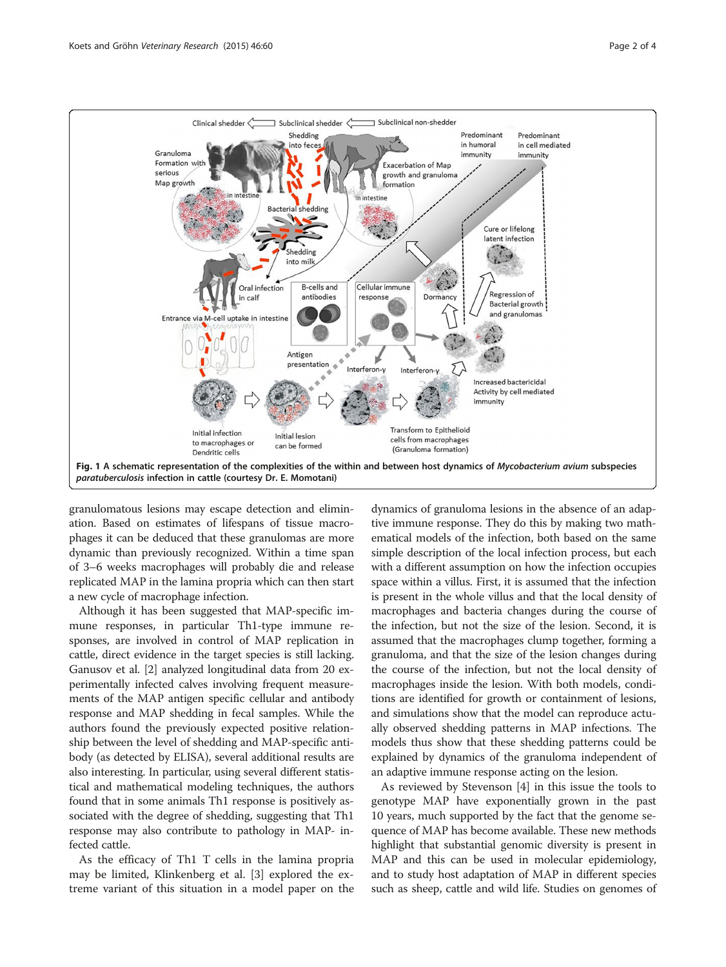<span id="page-1-0"></span>

granulomatous lesions may escape detection and elimination. Based on estimates of lifespans of tissue macrophages it can be deduced that these granulomas are more dynamic than previously recognized. Within a time span of 3–6 weeks macrophages will probably die and release replicated MAP in the lamina propria which can then start a new cycle of macrophage infection.

Although it has been suggested that MAP-specific immune responses, in particular Th1-type immune responses, are involved in control of MAP replication in cattle, direct evidence in the target species is still lacking. Ganusov et al. [\[2](#page-3-0)] analyzed longitudinal data from 20 experimentally infected calves involving frequent measurements of the MAP antigen specific cellular and antibody response and MAP shedding in fecal samples. While the authors found the previously expected positive relationship between the level of shedding and MAP-specific antibody (as detected by ELISA), several additional results are also interesting. In particular, using several different statistical and mathematical modeling techniques, the authors found that in some animals Th1 response is positively associated with the degree of shedding, suggesting that Th1 response may also contribute to pathology in MAP- infected cattle.

As the efficacy of Th1 T cells in the lamina propria may be limited, Klinkenberg et al. [[3\]](#page-3-0) explored the extreme variant of this situation in a model paper on the dynamics of granuloma lesions in the absence of an adaptive immune response. They do this by making two mathematical models of the infection, both based on the same simple description of the local infection process, but each with a different assumption on how the infection occupies space within a villus. First, it is assumed that the infection is present in the whole villus and that the local density of macrophages and bacteria changes during the course of the infection, but not the size of the lesion. Second, it is assumed that the macrophages clump together, forming a granuloma, and that the size of the lesion changes during the course of the infection, but not the local density of macrophages inside the lesion. With both models, conditions are identified for growth or containment of lesions, and simulations show that the model can reproduce actually observed shedding patterns in MAP infections. The models thus show that these shedding patterns could be explained by dynamics of the granuloma independent of an adaptive immune response acting on the lesion.

As reviewed by Stevenson [[4\]](#page-3-0) in this issue the tools to genotype MAP have exponentially grown in the past 10 years, much supported by the fact that the genome sequence of MAP has become available. These new methods highlight that substantial genomic diversity is present in MAP and this can be used in molecular epidemiology, and to study host adaptation of MAP in different species such as sheep, cattle and wild life. Studies on genomes of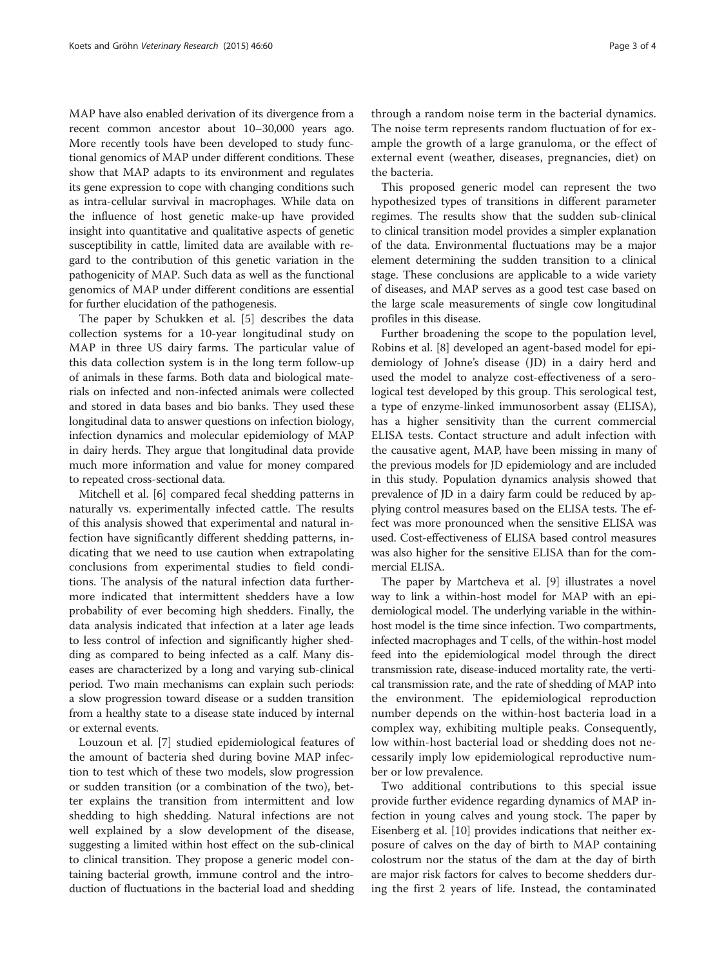MAP have also enabled derivation of its divergence from a recent common ancestor about 10–30,000 years ago. More recently tools have been developed to study functional genomics of MAP under different conditions. These show that MAP adapts to its environment and regulates its gene expression to cope with changing conditions such as intra-cellular survival in macrophages. While data on the influence of host genetic make-up have provided insight into quantitative and qualitative aspects of genetic susceptibility in cattle, limited data are available with regard to the contribution of this genetic variation in the pathogenicity of MAP. Such data as well as the functional genomics of MAP under different conditions are essential for further elucidation of the pathogenesis.

The paper by Schukken et al. [\[5\]](#page-3-0) describes the data collection systems for a 10-year longitudinal study on MAP in three US dairy farms. The particular value of this data collection system is in the long term follow-up of animals in these farms. Both data and biological materials on infected and non-infected animals were collected and stored in data bases and bio banks. They used these longitudinal data to answer questions on infection biology, infection dynamics and molecular epidemiology of MAP in dairy herds. They argue that longitudinal data provide much more information and value for money compared to repeated cross-sectional data.

Mitchell et al. [[6\]](#page-3-0) compared fecal shedding patterns in naturally vs. experimentally infected cattle. The results of this analysis showed that experimental and natural infection have significantly different shedding patterns, indicating that we need to use caution when extrapolating conclusions from experimental studies to field conditions. The analysis of the natural infection data furthermore indicated that intermittent shedders have a low probability of ever becoming high shedders. Finally, the data analysis indicated that infection at a later age leads to less control of infection and significantly higher shedding as compared to being infected as a calf. Many diseases are characterized by a long and varying sub-clinical period. Two main mechanisms can explain such periods: a slow progression toward disease or a sudden transition from a healthy state to a disease state induced by internal or external events.

Louzoun et al. [[7\]](#page-3-0) studied epidemiological features of the amount of bacteria shed during bovine MAP infection to test which of these two models, slow progression or sudden transition (or a combination of the two), better explains the transition from intermittent and low shedding to high shedding. Natural infections are not well explained by a slow development of the disease, suggesting a limited within host effect on the sub-clinical to clinical transition. They propose a generic model containing bacterial growth, immune control and the introduction of fluctuations in the bacterial load and shedding through a random noise term in the bacterial dynamics. The noise term represents random fluctuation of for example the growth of a large granuloma, or the effect of external event (weather, diseases, pregnancies, diet) on the bacteria.

This proposed generic model can represent the two hypothesized types of transitions in different parameter regimes. The results show that the sudden sub-clinical to clinical transition model provides a simpler explanation of the data. Environmental fluctuations may be a major element determining the sudden transition to a clinical stage. These conclusions are applicable to a wide variety of diseases, and MAP serves as a good test case based on the large scale measurements of single cow longitudinal profiles in this disease.

Further broadening the scope to the population level, Robins et al. [\[8](#page-3-0)] developed an agent-based model for epidemiology of Johne's disease (JD) in a dairy herd and used the model to analyze cost-effectiveness of a serological test developed by this group. This serological test, a type of enzyme-linked immunosorbent assay (ELISA), has a higher sensitivity than the current commercial ELISA tests. Contact structure and adult infection with the causative agent, MAP, have been missing in many of the previous models for JD epidemiology and are included in this study. Population dynamics analysis showed that prevalence of JD in a dairy farm could be reduced by applying control measures based on the ELISA tests. The effect was more pronounced when the sensitive ELISA was used. Cost-effectiveness of ELISA based control measures was also higher for the sensitive ELISA than for the commercial ELISA.

The paper by Martcheva et al. [\[9](#page-3-0)] illustrates a novel way to link a within-host model for MAP with an epidemiological model. The underlying variable in the withinhost model is the time since infection. Two compartments, infected macrophages and T cells, of the within-host model feed into the epidemiological model through the direct transmission rate, disease-induced mortality rate, the vertical transmission rate, and the rate of shedding of MAP into the environment. The epidemiological reproduction number depends on the within-host bacteria load in a complex way, exhibiting multiple peaks. Consequently, low within-host bacterial load or shedding does not necessarily imply low epidemiological reproductive number or low prevalence.

Two additional contributions to this special issue provide further evidence regarding dynamics of MAP infection in young calves and young stock. The paper by Eisenberg et al. [\[10](#page-3-0)] provides indications that neither exposure of calves on the day of birth to MAP containing colostrum nor the status of the dam at the day of birth are major risk factors for calves to become shedders during the first 2 years of life. Instead, the contaminated